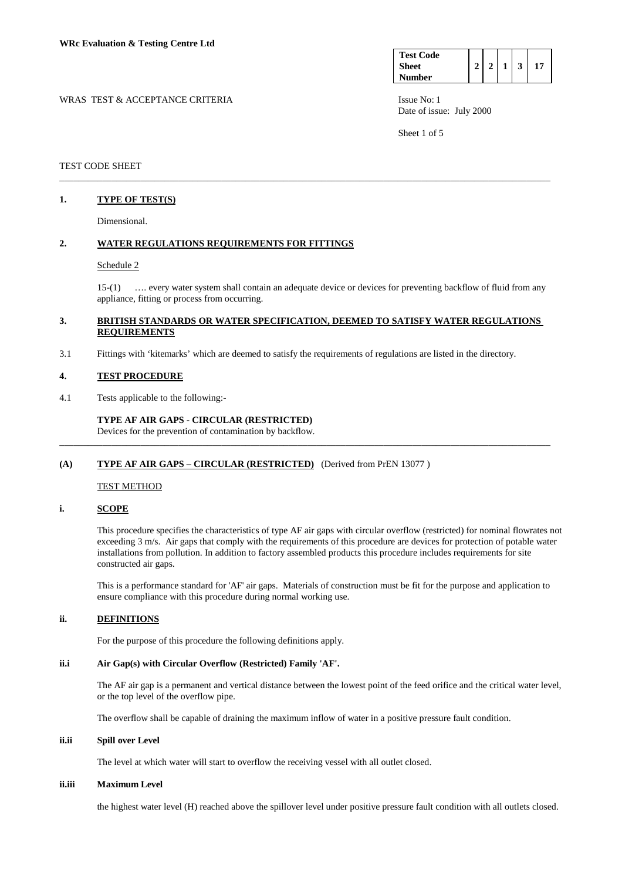| <b>Test Code</b> |  |  |  |
|------------------|--|--|--|
| <b>Sheet</b>     |  |  |  |
| <b>Number</b>    |  |  |  |

WRAS TEST & ACCEPTANCE CRITERIA ISSUE No: 1 Date of issue: July 2000

Sheet 1 of 5

## TEST CODE SHEET

## **1. TYPE OF TEST(S)**

Dimensional.

## **2. WATER REGULATIONS REQUIREMENTS FOR FITTINGS**

### Schedule 2

 15-(1) …. every water system shall contain an adequate device or devices for preventing backflow of fluid from any appliance, fitting or process from occurring.

## **3. BRITISH STANDARDS OR WATER SPECIFICATION, DEEMED TO SATISFY WATER REGULATIONS REQUIREMENTS**

\_\_\_\_\_\_\_\_\_\_\_\_\_\_\_\_\_\_\_\_\_\_\_\_\_\_\_\_\_\_\_\_\_\_\_\_\_\_\_\_\_\_\_\_\_\_\_\_\_\_\_\_\_\_\_\_\_\_\_\_\_\_\_\_\_\_\_\_\_\_\_\_\_\_\_\_\_\_\_\_\_\_\_\_\_\_\_\_\_\_\_\_\_\_\_\_\_\_\_\_\_\_\_

\_\_\_\_\_\_\_\_\_\_\_\_\_\_\_\_\_\_\_\_\_\_\_\_\_\_\_\_\_\_\_\_\_\_\_\_\_\_\_\_\_\_\_\_\_\_\_\_\_\_\_\_\_\_\_\_\_\_\_\_\_\_\_\_\_\_\_\_\_\_\_\_\_\_\_\_\_\_\_\_\_\_\_\_\_\_\_\_\_\_\_\_\_\_\_\_\_\_\_\_\_\_\_

3.1 Fittings with 'kitemarks' which are deemed to satisfy the requirements of regulations are listed in the directory.

### **4. TEST PROCEDURE**

4.1 Tests applicable to the following:-

## **TYPE AF AIR GAPS - CIRCULAR (RESTRICTED)**

Devices for the prevention of contamination by backflow.

### **(A) TYPE AF AIR GAPS – CIRCULAR (RESTRICTED)** (Derived from PrEN 13077 )

### TEST METHOD

## **i. SCOPE**

 This procedure specifies the characteristics of type AF air gaps with circular overflow (restricted) for nominal flowrates not exceeding 3 m/s. Air gaps that comply with the requirements of this procedure are devices for protection of potable water installations from pollution. In addition to factory assembled products this procedure includes requirements for site constructed air gaps.

 This is a performance standard for 'AF' air gaps. Materials of construction must be fit for the purpose and application to ensure compliance with this procedure during normal working use.

## **ii. DEFINITIONS**

For the purpose of this procedure the following definitions apply.

### **ii.i Air Gap(s) with Circular Overflow (Restricted) Family 'AF'.**

 The AF air gap is a permanent and vertical distance between the lowest point of the feed orifice and the critical water level, or the top level of the overflow pipe.

The overflow shall be capable of draining the maximum inflow of water in a positive pressure fault condition.

## **ii.ii Spill over Level**

The level at which water will start to overflow the receiving vessel with all outlet closed.

### **ii.iii Maximum Level**

the highest water level (H) reached above the spillover level under positive pressure fault condition with all outlets closed.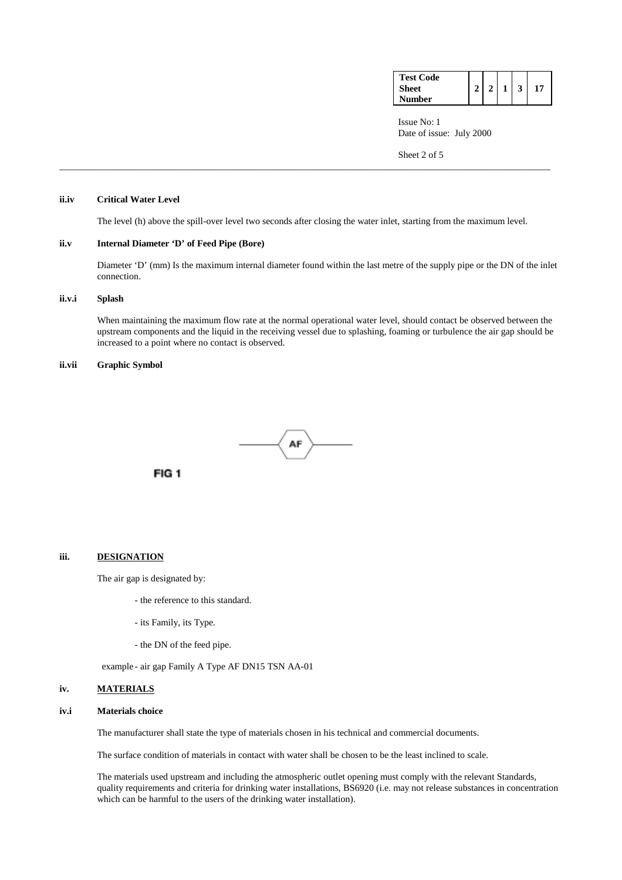| <b>Test Code</b> |                |                |                         |    |
|------------------|----------------|----------------|-------------------------|----|
| Sheet            | 2 <sup>1</sup> | 1 <sup>1</sup> | $\overline{\mathbf{3}}$ | 17 |
| <b>Number</b>    |                |                |                         |    |

 Issue No: 1 Date of issue: July 2000

Sheet 2 of 5

## **ii.iv Critical Water Level**

The level (h) above the spill-over level two seconds after closing the water inlet, starting from the maximum level.

\_\_\_\_\_\_\_\_\_\_\_\_\_\_\_\_\_\_\_\_\_\_\_\_\_\_\_\_\_\_\_\_\_\_\_\_\_\_\_\_\_\_\_\_\_\_\_\_\_\_\_\_\_\_\_\_\_\_\_\_\_\_\_\_\_\_\_\_\_\_\_\_\_\_\_\_\_\_\_\_\_\_\_\_\_\_\_\_\_\_\_\_\_\_\_\_\_\_\_\_\_\_\_

### **ii.v Internal Diameter 'D' of Feed Pipe (Bore)**

Diameter 'D' (mm) Is the maximum internal diameter found within the last metre of the supply pipe or the DN of the inlet connection.

#### **ii.v.i Splash**

When maintaining the maximum flow rate at the normal operational water level, should contact be observed between the upstream components and the liquid in the receiving vessel due to splashing, foaming or turbulence the air gap should be increased to a point where no contact is observed.

## **ii.vii Graphic Symbol**



# **iii. DESIGNATION**

The air gap is designated by:

- the reference to this standard.
- its Family, its Type.
- the DN of the feed pipe.

example - air gap Family A Type AF DN15 TSN AA-01

#### **iv. MATERIALS**

### **iv.i Materials choice**

The manufacturer shall state the type of materials chosen in his technical and commercial documents.

The surface condition of materials in contact with water shall be chosen to be the least inclined to scale.

 The materials used upstream and including the atmospheric outlet opening must comply with the relevant Standards, quality requirements and criteria for drinking water installations, BS6920 (i.e. may not release substances in concentration which can be harmful to the users of the drinking water installation).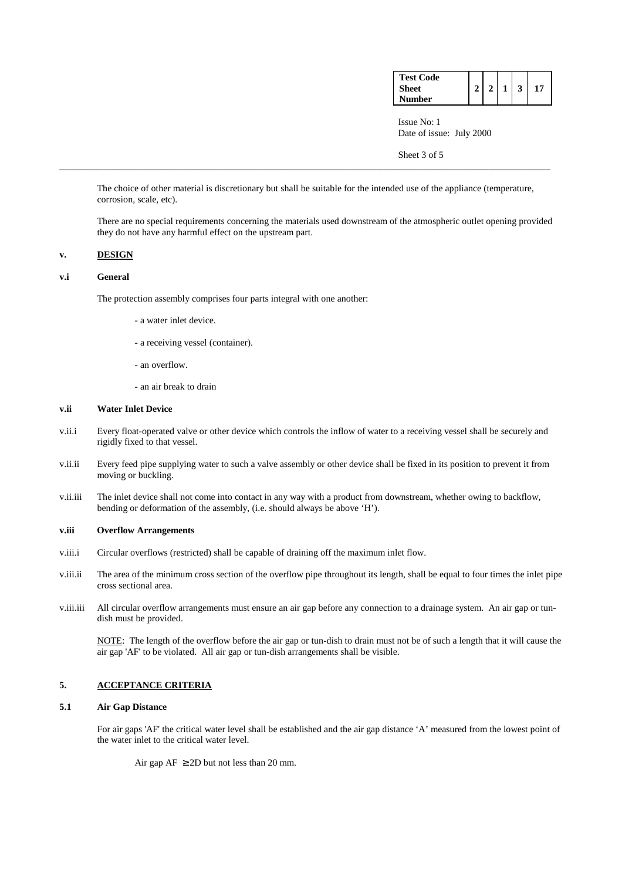| <b>Test Code</b> |                |                |                         |    |
|------------------|----------------|----------------|-------------------------|----|
| Sheet            | 2 <sup>1</sup> | 1 <sup>1</sup> | $\overline{\mathbf{3}}$ | 17 |
| <b>Number</b>    |                |                |                         |    |

 Issue No: 1 Date of issue: July 2000

Sheet 3 of 5

 The choice of other material is discretionary but shall be suitable for the intended use of the appliance (temperature, corrosion, scale, etc).

\_\_\_\_\_\_\_\_\_\_\_\_\_\_\_\_\_\_\_\_\_\_\_\_\_\_\_\_\_\_\_\_\_\_\_\_\_\_\_\_\_\_\_\_\_\_\_\_\_\_\_\_\_\_\_\_\_\_\_\_\_\_\_\_\_\_\_\_\_\_\_\_\_\_\_\_\_\_\_\_\_\_\_\_\_\_\_\_\_\_\_\_\_\_\_\_\_\_\_\_\_\_\_

 There are no special requirements concerning the materials used downstream of the atmospheric outlet opening provided they do not have any harmful effect on the upstream part.

### **v. DESIGN**

### **v.i General**

The protection assembly comprises four parts integral with one another:

- a water inlet device.
- a receiving vessel (container).
- an overflow.
- an air break to drain

## **v.ii Water Inlet Device**

- v.ii.i Every float-operated valve or other device which controls the inflow of water to a receiving vessel shall be securely and rigidly fixed to that vessel.
- v.ii.ii Every feed pipe supplying water to such a valve assembly or other device shall be fixed in its position to prevent it from moving or buckling.
- v.ii.iii The inlet device shall not come into contact in any way with a product from downstream, whether owing to backflow, bending or deformation of the assembly, (i.e. should always be above 'H').

### **v.iii Overflow Arrangements**

- v.iii.i Circular overflows (restricted) shall be capable of draining off the maximum inlet flow.
- v.iii.ii The area of the minimum cross section of the overflow pipe throughout its length, shall be equal to four times the inlet pipe cross sectional area.
- v.iii.iii All circular overflow arrangements must ensure an air gap before any connection to a drainage system. An air gap or tundish must be provided.

 NOTE: The length of the overflow before the air gap or tun-dish to drain must not be of such a length that it will cause the air gap 'AF' to be violated. All air gap or tun-dish arrangements shall be visible.

# **5. ACCEPTANCE CRITERIA**

## **5.1 Air Gap Distance**

 For air gaps 'AF' the critical water level shall be established and the air gap distance 'A' measured from the lowest point of the water inlet to the critical water level.

Air gap  $AF \geq 2D$  but not less than 20 mm.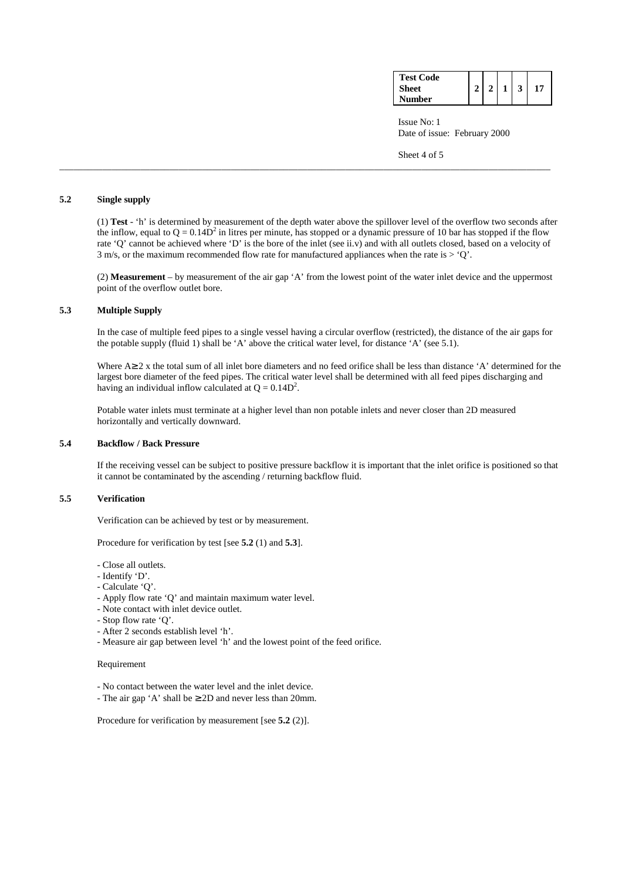| <b>Test Code</b> |  |              |  |
|------------------|--|--------------|--|
| <b>Sheet</b>     |  | $\mathbf{1}$ |  |
| <b>Number</b>    |  |              |  |

 Issue No: 1 Date of issue: February 2000

Sheet 4 of 5

## **5.2 Single supply**

 (1) **Test** - 'h' is determined by measurement of the depth water above the spillover level of the overflow two seconds after the inflow, equal to  $Q = 0.14D^2$  in litres per minute, has stopped or a dynamic pressure of 10 bar has stopped if the flow rate 'Q' cannot be achieved where 'D' is the bore of the inlet (see ii.v) and with all outlets closed, based on a velocity of 3 m/s, or the maximum recommended flow rate for manufactured appliances when the rate is  $>$  'Q'.

\_\_\_\_\_\_\_\_\_\_\_\_\_\_\_\_\_\_\_\_\_\_\_\_\_\_\_\_\_\_\_\_\_\_\_\_\_\_\_\_\_\_\_\_\_\_\_\_\_\_\_\_\_\_\_\_\_\_\_\_\_\_\_\_\_\_\_\_\_\_\_\_\_\_\_\_\_\_\_\_\_\_\_\_\_\_\_\_\_\_\_\_\_\_\_\_\_\_\_\_\_\_\_

 (2) **Measurement** – by measurement of the air gap 'A' from the lowest point of the water inlet device and the uppermost point of the overflow outlet bore.

## **5.3 Multiple Supply**

 In the case of multiple feed pipes to a single vessel having a circular overflow (restricted), the distance of the air gaps for the potable supply (fluid 1) shall be 'A' above the critical water level, for distance 'A' (see 5.1).

 Where A≥ 2 x the total sum of all inlet bore diameters and no feed orifice shall be less than distance 'A' determined for the largest bore diameter of the feed pipes. The critical water level shall be determined with all feed pipes discharging and having an individual inflow calculated at  $Q = 0.14D^2$ .

 Potable water inlets must terminate at a higher level than non potable inlets and never closer than 2D measured horizontally and vertically downward.

## **5.4 Backflow / Back Pressure**

 If the receiving vessel can be subject to positive pressure backflow it is important that the inlet orifice is positioned so that it cannot be contaminated by the ascending / returning backflow fluid.

## **5.5 Verification**

Verification can be achieved by test or by measurement.

Procedure for verification by test [see **5.2** (1) and **5.3**].

- Close all outlets.
- Identify 'D'.
- Calculate 'Q'.
- Apply flow rate 'Q' and maintain maximum water level.
- Note contact with inlet device outlet.
- Stop flow rate 'Q'.
- After 2 seconds establish level 'h'.
- Measure air gap between level 'h' and the lowest point of the feed orifice.

### Requirement

- No contact between the water level and the inlet device.
- The air gap 'A' shall be ≥ 2D and never less than 20mm.

Procedure for verification by measurement [see **5.2** (2)].